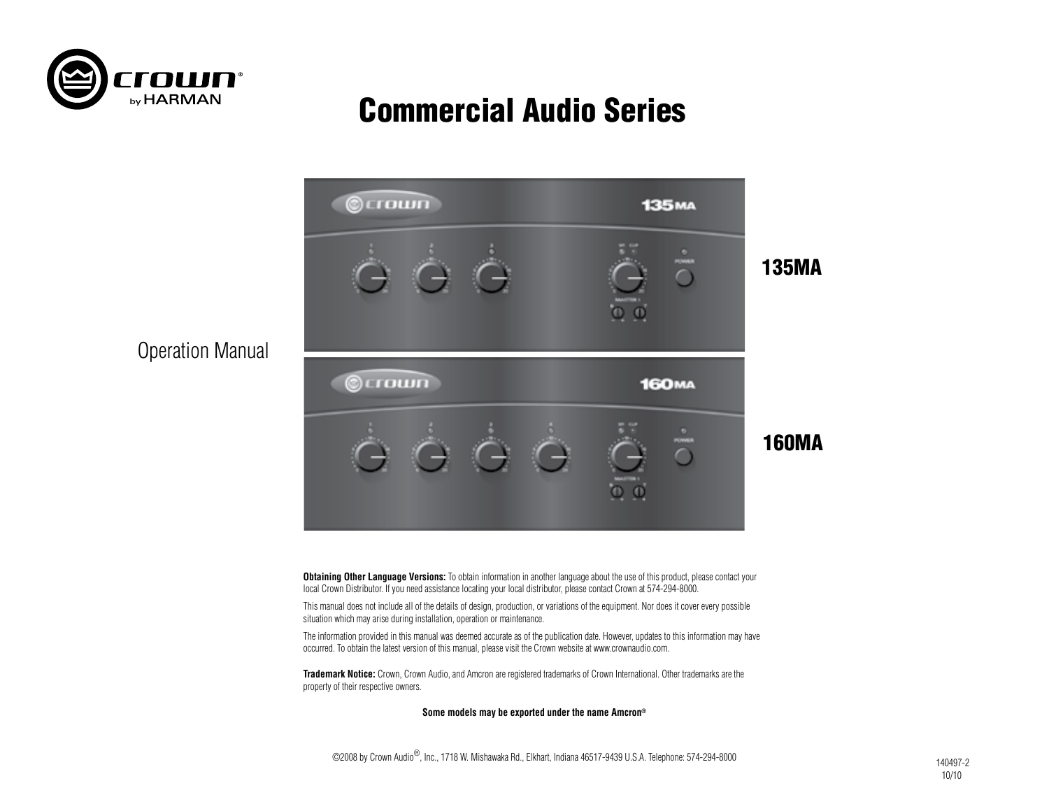

# Commercial Audio Series



**Obtaining Other Language Versions:** To obtain information in another language about the use of this product, please contact your local Crown Distributor. If you need assistance locating your local distributor, please contact Crown at 574-294-8000.

This manual does not include all of the details of design, production, or variations of the equipment. Nor does it cover every possible situation which may arise during installation, operation or maintenance.

The information provided in this manual was deemed accurate as of the publication date. However, updates to this information may have occurred. To obtain the latest version of this manual, please visit the Crown website at www.crownaudio.com.

**Trademark Notice:** Crown, Crown Audio, and Amcron are registered trademarks of Crown International. Other trademarks are the property of their respective owners.

#### **Some models may be exported under the name Amcron®**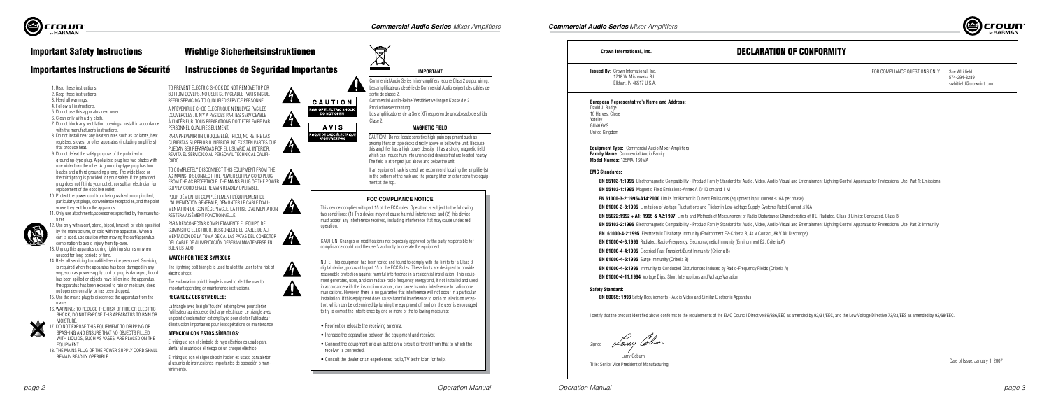









1. Read these instructions.

If an equipment rack is used, we recommend locating the amplifier(s) in the bottom of the rack and the preamplifier or other sensitive equipment at the top.

## Important Safety Instructions

### **Magnetic Field**

CAUTION! Do not locate sensitive high-gain equipment such as preamplifiers or tape decks directly above or below the unit. Because this amplifier has a high power density, it has a strong magnetic field which can induce hum into unshielded devices that are located nearby. The field is strongest just above and below the unit.

The lightning bolt triangle is used to alert the user to the risk of electric shock.

The exclamation point triangle is used to alert the user to important operating or maintenance instructions.

#### **REGARDEZ CES SYMBOLES:**

La triangle avec le sigle ''foudre'' est employée pour alerter l'utilisateur au risque de décharge électrique. Le triangle avec un point d'exclamation est employée pour alerter l'utilisateur d'instruction importantes pour lors opérations de maintenance.

#### **ATENCION CON ESTOS SÍMBOLOS:**

El triángulo con el símbolo de rayo eléctrico es usado para alertar al usuario de el riesgo de un choque eléctrico.

El triángulo con el signo de admiración es usado para alertar al usuario de instrucciones importantes de operación o mantenimiento.



#### **WATCH FOR THESE SYMBOLS:**

#### **IMPORTANT**

Commercial Audio Series mixer-amplifiers require Class 2 output wiring. Les amplificateurs de série de Commercial Audio exigent des câbles de sortie de classe 2.

Commercial Audio-Reihe-Verstärker verlangen Klasse die 2 Produktionsverdrahtung.

NOTE: This equipment has been tested and found to comply with the limits for a Class B digital device, pursuant to part 15 of the FCC Rules. These limits are designed to provide reasonable protection against harmful interference in a residential installation. This equipment generates, uses, and can radiate radio frequency energy and, if not installed and used in accordance with the instruction manual, may cause harmful interference to radio communications. However, there is no guarantee that interference will not occur in a particular installation. If this equipment does cause harmful interference to radio or television reception, which can be determined by turning the equipment off and on, the user is encouraged to try to correct the interference by one or more of the following measures:

Los amplificadores de la Serie XTi requieren de un cableado de salida Clase 2.

To prevent electric shock do not remove top or bottom covers. No user serviceable parts inside. Refer servicing to qualified service personnel.

À PRÉVENIR LE CHOC ÉLECTRIQUE N'ENLEVEZ PAS LES COUVERCLES. IL N'Y A PAS DES PARTIES SERVICEABLE À L'INTÉRIEUR. TOUS REPARATIONS DOIT ETRE FAIRE PAR PERSONNEL QUALIFIÉ SEULMENT.

PARA PREVENIR UN CHOQUE ELÉCTRICO, NO RETIRE LAS CUBIERTAS SUPERIOR O INFERIOR. NO EXISTEN PARTES QUE PUEDAN SER REPARADAS POR EL USUARIO AL INTERIOR. REMITA EL SERVICICO AL PERSONAL TÉCHNICAL CALIFI-CADO.

TO COMPLETELY DISCONNECT THIS EQUIPMENT FROM THE AC MAINS, DISCONNECT THE POWER SUPPLY CORD PLUG FROM THE AC RECEPTACLE. THE MAINS PLUG OF THE POWER SUPPLY CORD SHALL REMAIN READILY OPERABLE.

POUR DÉMONTER COMPLÈTEMENT L'ÉQUIPEMENT DE L'ALIMENTATION GÉNÉRALE, DÉMONTER LE CÂBLE D'ALI-MENTATION DE SON RÉCEPTACLE. LA PRISE D'ALIMENTATION RESTERA AISÉMENT FONCTIONNELLE.

Sue Whitfield 574-294-8289 FOR COMPLIANCE QUESTIONS ONLY:

PARA DESCONECTAR COMPLETAMENTE EL EQUIPO DEL SUMINSTRO ELECTRICO, DESCONECTE EL CABLE DE ALI-MENTACION DE LA TOMA DE CA. LAS PATAS DEL CONECTOR DEL CABLE DE ALIMENTACIÓN DEBERAN MANTENERSE EN BUEN ESTADO.

#### **FCC COMPLIANCE NOTICE**

This device complies with part 15 of the FCC rules. Operation is subject to the following two conditions: (1) This device may not cause harmful interference, and (2) this device must accept any interference received, including interference that may cause undesired operation.

- 2. Keep these instructions.
- 3. Heed all warnings.
- 4. Follow all instructions.
- 5. Do not use this apparatus near water.
- 6. Clean only with a dry cloth.
- 7. Do not block any ventilation openings. Install in accordance with the manufacturer's instructions.
- 8. Do not install near any heat sources such as radiators, heat registers, stoves, or other apparatus (including amplifiers) that produce heat.
- 9. Do not defeat the safety purpose of the polarized or grounding-type plug. A polarized plug has two blades with one wider than the other. A grounding-type plug has two blades and a third grounding prong. The wide blade or the third prong is provided for your safety. If the provided plug does not fit into your outlet, consult an electrician for replacement of the obsolete outlet.
- 10. Protect the power cord from being walked on or pinched, particularly at plugs, convenience receptacles, and the point where they exit from the apparatus.
- 11. Only use attachments/accessories specified by the manufacturer.



CAUTION: Changes or modifications not expressly approved by the party responsible for complicance could void the user's authority to operate the equipment.

- . DO NOT EXPOSE THIS EQUIPMENT TO DRIPPING OR SPASHING AND ENSURE THAT NO OBJECTS FILLED WITH LIQUIDS, SUCH AS VASES, ARE PLACED ON THE EQUIPMENT.
- 18. THE MAINS PLUG OF THE POWER SUPPLY CORD SHALL REMAIN READILY OPERABLE.
- Reorient or relocate the receiving antenna.
- Increase the separation between the equipment and receiver.
- Connect the equipment into an outlet on a circuit different from that to which the receiver is connected.
- Consult the dealer or an experienced radio/TV technician for help.

I certify that the product identified above conforms to the requirements of the EMC Council Directive 89/336/EEC as amended by 92/31/EEC, and the Low Voltage Directive 73/23/EES as amended by 93/68/EEC.

**Equipment Type:** Commercial Audio Mixer-Amplifiers **Family Name:** Commercial Audio Family **Model Names:** 135MA, 160MA

#### **EMC Standards:**

- **EN 55103-1:1995** Electromagnetic Compatibility Product Family Standard for Audio, Video, Audio-Visual and Entertainment Lighting Control Apparatus for Professional Use, Part 1: Emissions
- **EN 55103-1:1995** Magnetic Field Emissions-Annex A @ 10 cm and 1 M
- **EN 61000-3-2:1995+A14:2000** Limits for Harmonic Current Emissions (equipment input current ≤16A per phase)
- **EN 61000-3-3:1995** Limitation of Voltage Fluctuations and Flicker in Low-Voltage Supply Systems Rated Current ≤16A
- **EN 55022:1992 + A1: 1995 & A2:1997** Limits and Methods of Measurement of Radio Disturbance Characteristics of ITE: Radiated, Class B Limits; Conducted, Class B
- **EN 55103-2:1996** Electromagnetic Compatibility Product Family Standard for Audio, Video, Audio-Visual and Entertainment Lighting Control Apparatus for Professional Use, Part 2: Immunity
- **EN 61000-4-2:1995** Electrostatic Discharge Immunity (Environment E2-Criteria B, 4k V Contact, 8k V Air Discharge)
- **EN 61000-4-3:1996** Radiated, Radio-Frequency, Electromagnetic Immunity (Environment E2, Criteria A)
- **EN 61000-4-4:1995** Electrical Fast Transient/Burst Immunity (Criteria B)
- **EN 61000-4-5:1995** Surge Immunity (Criteria B)
- **EN 61000-4-6:1996** Immunity to Conducted Disturbances Induced by Radio-Frequency Fields (Criteria A)
- **EN 61000-4-11:1994** Voltage Dips, Short Interruptions and Voltage Variation

#### **Safety Standard:**

**EN 60065: 1998** Safety Requirements - Audio Video and Similar Electronic Apparatus

**Issued By:** Crown International, Inc. 1718 W. Mishawaka Rd. Elkhart, IN 46517 U.S.A.

swhitfield@crownintl.com

## Crown International, Inc. **DECLARATION OF CONFORMITY**

**European Representative's Name and Address:**

David J. Budge 10 Harvest Close Yateley GU46 6YS United Kingdom

Date of Issue: January 1, 2007

Signed

Larry Coburn Title: Senior Vice President of Manufacturing

- 12. Use only with a cart, stand, tripod, bracket, or table specified by the manufacturer, or sold with the apparatus. When a cart is used, use caution when moving the cart/apparatus combination to avoid injury from tip-over. 13. Unplug this apparatus during lightning storms or when
- unused for long periods of time. 14. Refer all servicing to qualified service personnel. Servicing is required when the apparatus has been damaged in any way, such as power-supply cord or plug is damaged, liquid has been spilled or objects have fallen into the apparatus, the apparatus has been exposed to rain or moisture, does
- not operate normally, or has been dropped. 15. Use the mains plug to disconnect the apparatus from the mains.
- 16. WARNING: TO REDUCE THE RISK OF FIRE OR ELECTRIC SHOCK, DO NOT EXPOSE THIS APPARATUS TO RAIN OR MOISTURE.



## Importantes Instructions de Sécurité

## Wichtige Sicherheitsinstruktionen

## Instrucciones de Seguridad Importantes

ÆÐ

ÆØ

**AA**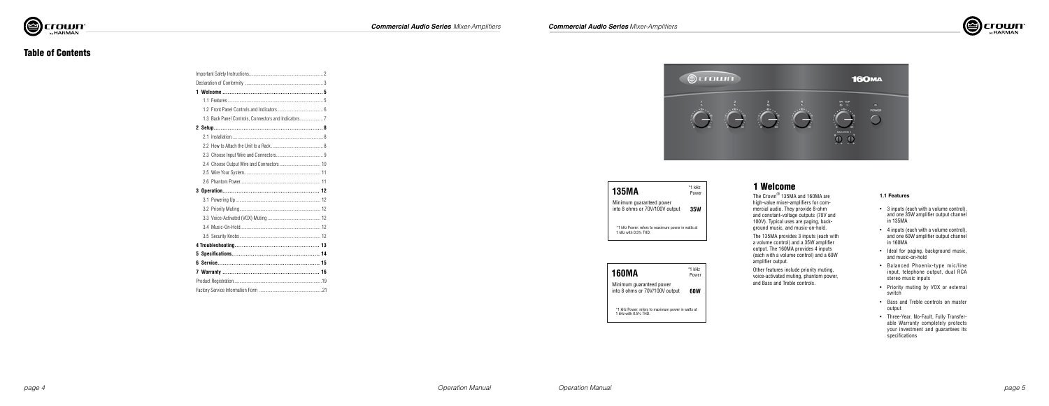





## Table of Contents

| 6 |  |  |
|---|--|--|
|   |  |  |
|   |  |  |
|   |  |  |

The Crown<sup>®</sup> 135MA and 160MA are high-value mixer-amplifiers for commercial audio. They provide 8-ohm and constant-voltage outputs (70V and 100V). Typical uses are paging, background music, and music-on-hold.

- 3 inputs (each with a volume control), and one 35W amplifier output channel in 135MA
- • 4 inputs (each with a volume control), and one 60W amplifier output channel in 160MA
- • Ideal for paging, background music, and music-on-hold
- • Balanced Phoenix-type mic/line input, telephone output, dual RCA stereo music inputs
- Priority muting by VOX or external switch
- Bass and Treble controls on master output
- • Three-Year, No-Fault, Fully Transferable Warranty completely protects your investment and guarantees its specifications

The 135MA provides 3 inputs (each with a volume control) and a 35W amplifier output. The 160MA provides 4 inputs (each with a volume control) and a 60W amplifier output.

Other features include priority muting, voice-activated muting, phantom power, and Bass and Treble controls.

## 1 Welcome

#### **1.1 Features**

| 135MA                                                                     | *1 kHz<br>Power |  |  |
|---------------------------------------------------------------------------|-----------------|--|--|
| Minimum guaranteed power<br>into 8 ohms or 70V/100V output                | <b>35W</b>      |  |  |
| *1 kHz Power: refers to maximum power in watts at<br>1 kHz with 0.5% THD. |                 |  |  |

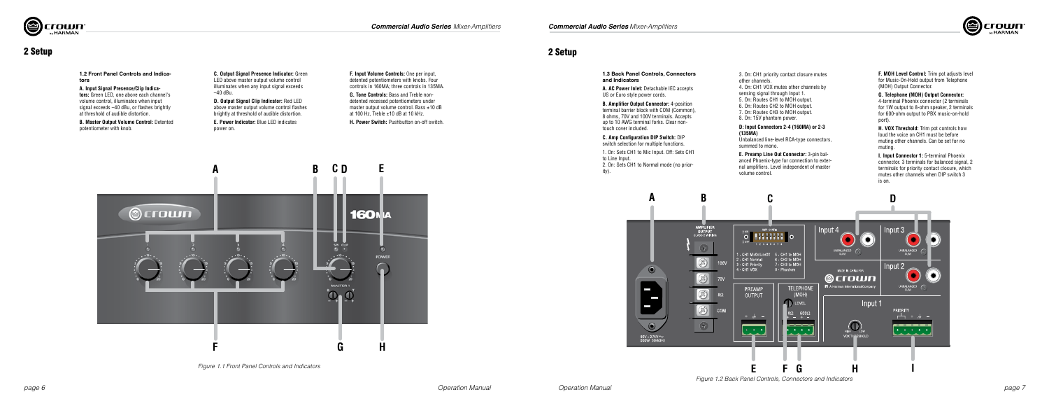



2 Setup

*Figure 1.1 Front Panel Controls and Indicators*

#### **1.2 Front Panel Controls and Indicators**

#### **A. Input Signal Presence/Clip Indica-**

**tors:** Green LED, one above each channel's volume control, illuminates when input signal exceeds –40 dBu, or flashes brightly at threshold of audible distortion.

**B. Master Output Volume Control:** Detented potentiometer with knob.

#### **1.3 Back Panel Controls, Connectors and Indicators**

**A. AC Power Inlet:** Detachable IEC accepts US or Euro style power cords.

**B. Amplifier Output Connector:** 4-position terminal barrier block with COM (Common), 8 ohms, 70V and 100V terminals. Accepts up to 10 AWG terminal forks. Clear nontouch cover included.

#### **C. Amp Configuration DIP Switch:** DIP switch selection for multiple functions.

1. On: Sets CH1 to Mic Input. Off: Sets CH1 to Line Input. 2. On: Sets CH1 to Normal mode (no priority).

**G. Tone Controls:** Bass and Treble nondetented recessed potentiometers under master output volume control. Bass ±10 dB at 100 Hz. Treble  $\pm$ 10 dB at 10 kHz.

**H. Power Switch: Pushbutton on-off switch.** 

3. On: CH1 priority contact closure mutes other channels. 4. On: CH1 VOX mutes other channels by sensing signal through Input 1. 5. On: Routes CH1 to MOH output. 6. On: Routes CH2 to MOH output. 7. On: Routes CH3 to MOH output. 8. On: 15V phantom power. **D: Input Connectors 2-4 (160MA) or 2-3** 

#### **(135MA)** Unbalanced line-level RCA-type connectors, summed to mono.

**E. Preamp Line Out Connector:** 3-pin balanced Phoenix-type for connection to external amplifiers. Level independent of master volume control.



*Figure 1.2 Back Panel Controls, Connectors and Indicators*

## 2 Setup



**C. Output Signal Presence Indicator:** Green LED above master output volume control illuminates when any input signal exceeds –40 dBu.

**D. Output Signal Clip Indicator:** Red LED above master output volume control flashes brightly at threshold of audible distortion.

**E. Power Indicator:** Blue LED indicates power on.

**F. Input Volume Controls:** One per input, detented potentiometers with knobs. Four controls in 160MA; three controls in 135MA. **F. MOH Level Control:** Trim pot adjusts level for Music-On-Hold output from Telephone (MOH) Output Connector.

#### **G. Telephone (MOH) Output Connector:**

4-terminal Phoenix connector (2 terminals for 1W output to 8-ohm speaker, 2 terminals for 600-ohm output to PBX music-on-hold port).

**H. VOX Threshold:** Trim pot controls how loud the voice on CH1 must be before muting other channels. Can be set for no muting.

**I. Input Connector 1:** 5-terminal Phoenix connector. 3 terminals for balanced signal, 2 terminals for priority contact closure, which mutes other channels when DIP switch 3 is on.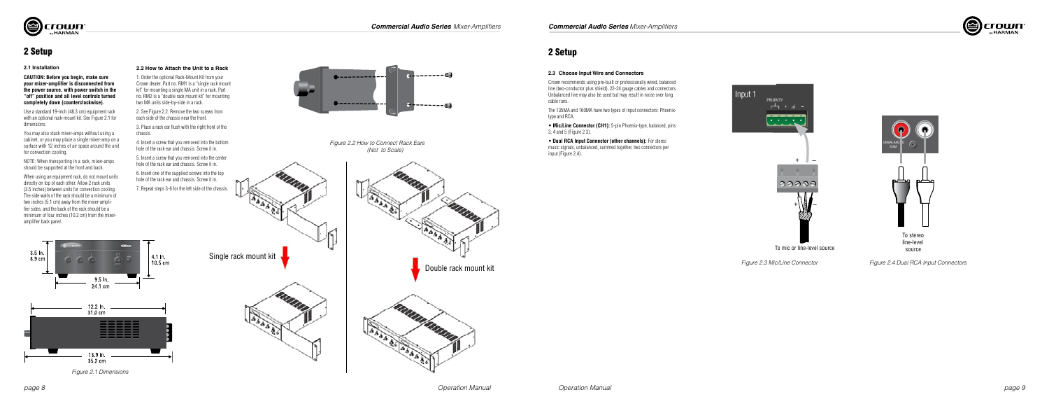



*Figure 2.2 How to Connect Rack Ears (Not to Scale)*

## 2 Setup

#### **2.3 Choose Input Wire and Connectors**

Crown recommends using pre-built or professionally wired, balanced line (two-conductor plus shield), 22-24 gauge cables and connectors. Unbalanced line may also be used but may result in noise over long

cable runs.

The 135MA and 160MA have two types of input connectors: Phoenix-

type and RCA.

• **Mic/Line Connector (CH1):** 5-pin Phoenix-type, balanced, pins

3, 4 and 5 (Figure 2.3).

• **Dual RCA Input Connector (other channels):** For stereo music signals, unbalanced, summed together, two connectors per

input (Figure 2.4).

*Figure 2.3 Mic/Line Connector*



*Figure 2.1 Dimensions*

#### **2.1 Installation**

**CAUTION: Before you begin, make sure your mixer-amplifier is disconnected from the power source, with power switch in the "off" position and all level controls turned completely down (counterclockwise).**

Use a standard 19-inch (48.3 cm) equipment rack with an optional rack-mount kit. See Figure 2.1 for dimensions.

You may also stack mixer-amps without using a cabinet, or you may place a single mixer-amp on a surface with 12 inches of air space around the unit for convection cooling.

NOTE: When transporting in a rack, mixer-amps should be supported at the front and back.

When using an equipment rack, do not mount units directly on top of each other. Allow 2 rack units (3.5 inches) between units for convection cooling. The side walls of the rack should be a minimum of two inches (5.1 cm) away from the mixer-amplifier sides, and the back of the rack should be a minimum of four inches (10.2 cm) from the mixeramplifier back panel.

### **2.2 How to Attach the Unit to a Rack**

1. Order the optional Rack-Mount Kit from your Crown dealer. Part no. RM1 is a "single rack mount kit" for mounting a single MA unit in a rack. Part no. RM2 is a "double rack mount kit" for mounting two MA units side-by-side in a rack.

2. See Figure 2.2. Remove the two screws from each side of the chassis near the front.

3. Place a rack ear flush with the right front of the chassis.

4. Insert a screw that you removed into the bottom hole of the rack ear and chassis. Screw it in.

5. Insert a screw that you removed into the center hole of the rack ear and chassis. Screw it in.

6. Insert one of the supplied screws into the top hole of the rack ear and chassis. Screw it in.

7. Repeat steps 3-6 for the left side of the chassis.

*Figure 2.4 Dual RCA Input Connectors*

line-level source





## 2 Setup

Single rack mount kit

ANNINO

**ARTIFUEL** 



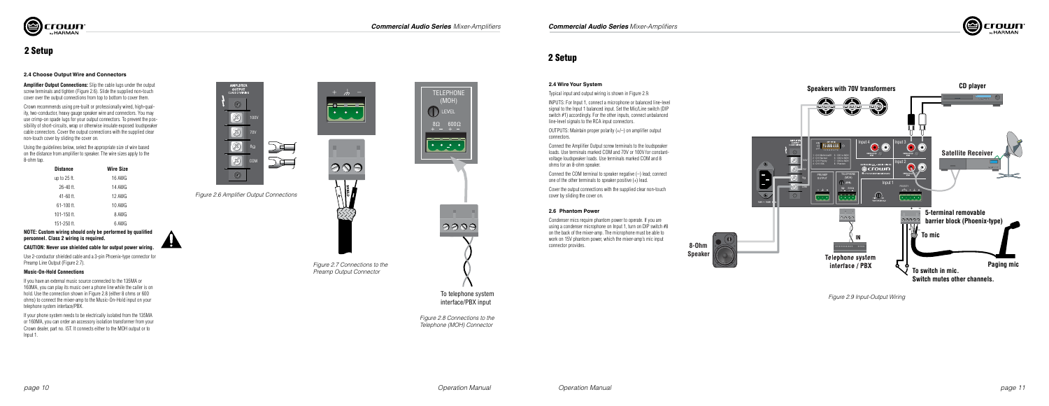



## 2 Setup

#### **2.4 Choose Output Wire and Connectors**

**Amplifier Output Connections:** Slip the cable lugs under the output screw terminals and tighten (Figure 2.6). Slide the supplied non-touch cover over the output connections from top to bottom to cover them.

Crown recommends using pre-built or professionally wired, high-quality, two-conductor, heavy gauge speaker wire and connectors. You may use crimp-on spade lugs for your output connectors. To prevent the possibility of short-circuits, wrap or otherwise insulate exposed loudspeaker cable connectors. Cover the output connections with the supplied clear non-touch cover by sliding the cover on.

Using the guidelines below, select the appropriate size of wire based on the distance from amplifier to speaker. The wire sizes apply to the 8-ohm tap.

| <b>Distance</b> | <b>Wire Size</b> |
|-----------------|------------------|
| up to 25 ft.    | 16 AWG           |
| $26 - 40$ ft.   | 14 AWG           |
| $41 - 60$ ft.   | <b>12 AWG</b>    |
| $61-100$ ft.    | 10 AWG           |
| 101-150 ft.     | 8 AWG            |
| $151 - 250$ ft. | 6 AWG            |
|                 |                  |

**NOTE: Custom wiring should only be performed by qualified personnel. Class 2 wiring is required.**

Connect the Amplifier Output screw terminals to the loudspeaker loads. Use terminals marked COM and 70V or 100V for constantvoltage loudspeaker loads. Use terminals marked COM and 8 ohms for an 8-ohm speaker. COM **100V** voltage loudspeaker loads. Ose terminals marked COW and COVID and COVID and COVID and COVID and COVID and COVID and COVID and COVID and COVID and COVID and COVID and COVID and COVID and COVID and COVID and COVID

#### **CAUTION: Never use shielded cable for output power wiring.**

ÆÐ

Use 2-conductor shielded cable and a 3-pin Phoenix-type connector for Preamp Line Output (Figure 2.7).

#### **Music-On-Hold Connections**

Connect the COM terminal to speaker negative (-) lead; connect one of the other terminals to speaker positive (+) lead.

If you have an external music source connected to the 135MA or 160MA, you can play its music over a phone line while the caller is on hold. Use the connection shown in Figure 2.8 (either 8 ohms or 600 ohms) to connect the mixer-amp to the Music-On-Hold input on your telephone system interface/PBX.

If your phone system needs to be electrically isolated from the 135MA or 160MA, you can order an accessory isolation transformer from your Crown dealer, part no. IST. It connects either to the MOH output or to Input 1.

*Figure 2.6 Amplifier Output Connections*



*Figure 2.7 Connections to the* 

*Preamp Output Connector* 

#### **2.4 Wire Your System**

Typical input and output wiring is shown in Figure 2.9.

INPUTS: For Input 1, connect a microphone or balanced line-level signal to the Input 1 balanced input. Set the Mic/Line switch (DIP switch #1) accordingly. For the other inputs, connect unbalanced line-level signals to the RCA input connectors.

OUTPUTS: Maintain proper polarity (+/–) on amplifier output connectors.

Cover the output connections with the supplied clear non-touch cover by sliding the cover on.

#### **2.6 Phantom Power**

Condenser mics require phantom power to operate. If you are using a condenser microphone on Input 1, turn on DIP switch #8 on the back of the mixer-amp. The microphone must be able to work on 15V phantom power, which the mixer-amp's mic input

connector provides.



*Figure 2.8 Connections to the Telephone (MOH) Connector* 

## 2 Setup

*Figure 2.9 Input-Output Wiring*





 **8-Ohm Speaker**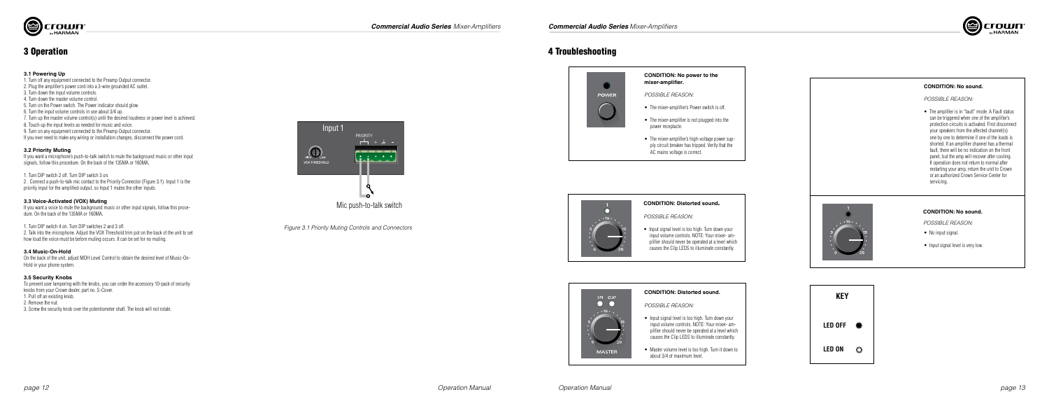

## 3 Operation 4 Troubleshooting

*Figure 3.1 Priority Muting Controls and Connectors*







### **3.1 Powering Up**

1. Turn off any equipment connected to the Preamp Output connector. 2. Plug the amplifier's power cord into a 3-wire grounded AC outlet. 3. Turn down the input volume controls. 4. Turn down the master volume control. 5. Turn on the Power switch. The Power indicator should glow. 6. Turn the input volume controls in use about 3/4 up. 7. Turn up the master volume control(s) until the desired loudness or power level is achieved. 8. Touch up the input levels as needed for music and voice. 9. Turn on any equipment connected to the Preamp Output connector.

If you ever need to make any wiring or installation changes, disconnect the power cord.

#### **3.2 Priority Muting**

If you want a microphone's push-to-talk switch to mute the background music or other input signals, follow this procedure. On the back of the 135MA or 160MA,

1. Turn DIP switch 2 off. Turn DIP switch 3 on. 2 . Connect a push-to-talk mic contact to the Priority Connector (Figure 3.1). Input 1 is the priority input for the amplified output, so Input 1 mutes the other inputs.

#### **3.3 Voice-Activated (VOX) Muting**

If you want a voice to mute the background music or other input signals, follow this procedure. On the back of the 135MA or 160MA,

1. Turn DIP switch 4 on. Turn DIP switches 2 and 3 off. 2. Talk into the microphone. Adjust the VOX Threshold trim pot on the back of the unit to set how loud the voice must be before muting occurs. It can be set for no muting.

#### **3.4 Music-On-Hold**

On the back of the unit, adjust MOH Level Control to obtain the desired level of Music-On-Hold in your phone system.

• The amplifier is in "fault" mode. A Fault status can be triggered when one of the amplifier's protection circuits is activated. First disconnect your speakers from the affected channel(s) one by one to determine if one of the loads is shorted. If an amplifier channel has a thermal fault, there will be no indication on the front panel, but the amp will recover after cooling. If operation does not return to normal after restarting your amp, return the unit to Crown or an authorized Crown Service Center for servicing.



#### **3.5 Security Knobs**

To prevent user tampering with the knobs, you can order the accessory 10-pack of security knobs from your Crown dealer, part no. S-Cover. 1. Pull off an existing knob. 2. Remove the nut. 3. Screw the security knob over the potentiometer shaft. The knob will not rotate.

### **CONDITION: No power to the mixer-amplifier.**

*POSSIBLE REASON:*

- The mixer-amplifier's Power switch is off.
- The mixer-amplifier is not plugged into the power receptacle.
- The mixer-amplifier's high-voltage power supply circuit breaker has tripped. Verify that the AC mains voltage is correct.



### **CONDITION: Distorted sound**.

### *POSSIBLE REASON:*

• Input signal level is too high. Turn down your input volume controls. NOTE: Your mixer- amplifier should never be operated at a level which causes the Clip LEDS to illuminate constantly.

### **CONDITION: Distorted sound.**

### *POSSIBLE REASON:*

- Input signal level is too high. Turn down your input volume controls. NOTE: Your mixer- amplifier should never be operated at a level which causes the Clip LEDS to illuminate constantly.
- Master volume level is too high. Turn it down to about 3/4 of maximum level.

## **CONDITION: No sound.**

#### *POSSIBLE REASON:*





#### **CONDITION: No sound.**

*POSSIBLE REASON:*

- No input signal.
- Input signal level is very low.

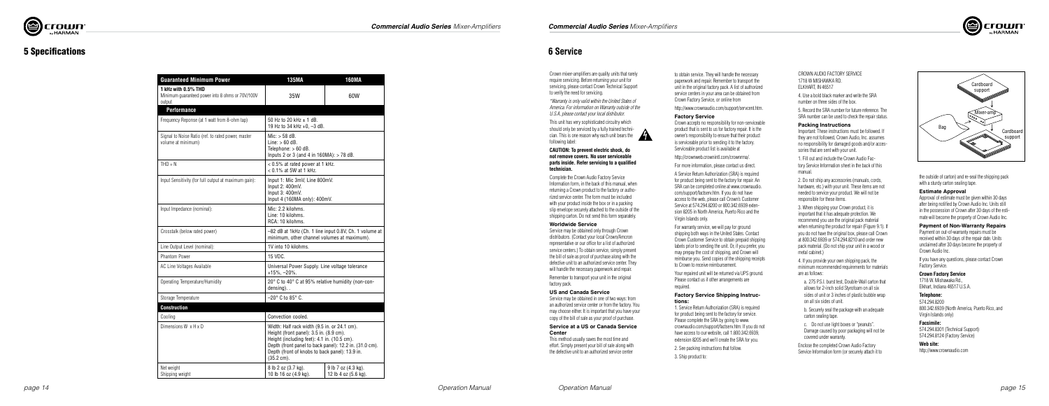

- 
- 
- 
- 
- 
- 
- 



5 Specifications

Crown mixer-amplifiers are quality units that rarely require servicing. Before returning your unit for servicing, please contact Crown Technical Support to verify the need for servicing.

*\*Warranty is only valid within the United States of America. For information on Warranty outside of the U.S.A, please contact your local distributor.*

This unit has very sophisticated circuitry which should only be serviced by a fully trained technician. This is one reason why each unit bears the following label:

### **CAUTION: To prevent electric shock, do not remove covers. No user serviceable parts inside. Refer servicing to a qualified technician.**

Complete the Crown Audio Factory Service Information form, in the back of this manual, when returning a Crown product to the factory or authorized service center. The form must be included with your product inside the box or in a packing slip envelope securely attached to the outside of the shipping carton. Do not send this form separately.

### **Worldwide Service**

Service may be obtained only through Crown distributors. (Contact your local Crown/Amcron representative or our office for a list of authorized service centers.) To obtain service, simply present the bill of sale as proof of purchase along with the defective unit to an authorized service center. They will handle the necessary paperwork and repair. Remember to transport your unit in the original factory pack.

### **US and Canada Service**

Service may be obtained in one of two ways: from an authorized service center or from the factory. You may choose either. It is important that you have your copy of the bill of sale as your proof of purchase.

#### **Service at a US or Canada Service Center**

This method usually saves the most time and effort. Simply present your bill of sale along with the defective unit to an authorized service center

to obtain service. They will handle the necessary paperwork and repair. Remember to transport the unit in the original factory pack. A list of authorized service centers in your area can be obtained from Crown Factory Service, or online from

http://www.crownaudio.com/support/servcent.htm.

#### **Factory Service**

Crown accepts no responsibility for non-serviceable product that is sent to us for factory repair. It is the owner's responsibility to ensure that their product is serviceable prior to sending it to the factory. Serviceable product list is available at

http://crownweb.crownintl.com/crownrma/.

For more information, please contact us direct.

| <b>Guaranteed Minimum Power</b>                                                          | <b>135MA</b>                                                                                                                                                                                                                                                               | <b>160MA</b>                                |  |  |
|------------------------------------------------------------------------------------------|----------------------------------------------------------------------------------------------------------------------------------------------------------------------------------------------------------------------------------------------------------------------------|---------------------------------------------|--|--|
| 1 kHz with 0.5% THD<br>Minimum quaranteed power into 8 ohms or 70V/100V<br>output        | 35W                                                                                                                                                                                                                                                                        | 60W                                         |  |  |
| <b>Performance</b>                                                                       |                                                                                                                                                                                                                                                                            |                                             |  |  |
| Frequency Reponse (at 1 watt from 8-ohm tap)                                             | 50 Hz to 20 kHz $\pm$ 1 dB.<br>19 Hz to 34 kHz +0, -3 dB.                                                                                                                                                                                                                  |                                             |  |  |
| Signal to Noise Ratio (ref. to rated power, master<br>volume at minimum)                 | $Mic:$ > 58 dB.<br>Line: $> 60$ dB.<br>Telephone: $> 60$ dB.<br>Inputs 2 or 3 (and 4 in 160MA): > 78 dB.                                                                                                                                                                   |                                             |  |  |
| $THD + N$                                                                                | < 0.5% at rated power at 1 kHz.<br>< 0.1% at 5W at 1 kHz.                                                                                                                                                                                                                  |                                             |  |  |
| Input Sensitivity (for full output at maximum gain):                                     | Input 1: Mic 3mV, Line 800mV.<br>Input 2: 400mV.<br>Input 3: 400mV.<br>Input 4 (160MA only): 400mV.                                                                                                                                                                        |                                             |  |  |
| Mic: 2.2 kilohms.<br>Input Impedance (nominal):<br>Line: 10 kilohms.<br>RCA: 10 kilohms. |                                                                                                                                                                                                                                                                            |                                             |  |  |
| Crosstalk (below rated power)                                                            | -82 dB at 1kHz (Ch. 1 line input 0.8V, Ch. 1 volume at<br>minimum, other channel volumes at maximum).                                                                                                                                                                      |                                             |  |  |
| Line Output Level (nominal):                                                             | 1V into 10 kilohms.                                                                                                                                                                                                                                                        |                                             |  |  |
| <b>Phantom Power</b>                                                                     | 15 VDC.                                                                                                                                                                                                                                                                    |                                             |  |  |
| AC Line Voltages Available                                                               | Universal Power Supply. Line voltage tolerance<br>$+15\%$ , $-20\%$ .                                                                                                                                                                                                      |                                             |  |  |
| Operating Temperature/Humidity                                                           | 20° C to 40° C at 95% relative humidity (non-con-<br>$density)$                                                                                                                                                                                                            |                                             |  |  |
| Storage Temperature                                                                      | $-20^\circ$ C to 85° C.                                                                                                                                                                                                                                                    |                                             |  |  |
| <b>Construction</b>                                                                      |                                                                                                                                                                                                                                                                            |                                             |  |  |
| Cooling                                                                                  | Convection cooled.                                                                                                                                                                                                                                                         |                                             |  |  |
| Dimensions W x H x D                                                                     | Width: Half rack width (9.5 in. or 24.1 cm).<br>Height (front panel): 3.5 in. (8.9 cm).<br>Height (including feet): 4.1 in. (10.5 cm).<br>Depth (front panel to back panel): 12.2 in. (31.0 cm).<br>Depth (front of knobs to back panel): 13.9 in.<br>$(35.2 \text{ cm}).$ |                                             |  |  |
| Net weight<br>Shipping weight                                                            | 8 lb 2 oz (3.7 kg).<br>10 lb 16 oz (4.9 kg).                                                                                                                                                                                                                               | 9 lb 7 oz (4.3 kg).<br>12 lb 4 oz (5.6 kg). |  |  |

A Service Return Authorization (SRA) is required for product being sent to the factory for repair. An SRA can be completed online at www.crownaudio. com/support/factserv.htm. If you do not have access to the web, please call Crown's Customer Service at 574.294.8200 or 800.342.6939 extension 8205 in North America, Puerto Rico and the Virgin Islands only.

For warranty service, we will pay for ground shipping both ways in the United States. Contact Crown Customer Service to obtain prepaid shipping labels prior to sending the unit. Or, if you prefer, you may prepay the cost of shipping, and Crown will reimburse you. Send copies of the shipping receipts to Crown to receive reimbursement.

Your repaired unit will be returned via UPS ground. Please contact us if other arrangements are required.

#### **Factory Service Shipping Instructions:**

1. Service Return Authorization (SRA) is required for product being sent to the factory for service. Please complete the SRA by going to www. crownaudio.com/support/factserv.htm. If you do not have access to our website, call 1.800.342.6939, extension 8205 and we'll create the SRA for you.

2. See packing instructions that follow. 3. Ship product to:

CROWN AUDIO FACTORY SERVICE 1718 W MISHAWKA RD. ELKHART, IN 46517

4. Use a bold black marker and write the SRA number on three sides of the box.

5. Record the SRA number for future reference. The SRA number can be used to check the repair status.

#### **Packing Instructions**

Important: These instructions must be followed. If they are not followed, Crown Audio, Inc. assumes no responsibility for damaged goods and/or accessories that are sent with your unit.

1. Fill out and include the Crown Audio Factory Service Information sheet in the back of this manual.

2. Do not ship any accessories (manuals, cords, hardware, etc.) with your unit. These items are not needed to service your product. We will not be responsible for these items.

3. When shipping your Crown product, it is important that it has adequate protection. We recommend you use the original pack material when returning the product for repair (Figure 9.1). If you do not have the original box, please call Crown at 800.342.6939 or 574.294.8210 and order new pack material. (Do not ship your unit in a wood or metal cabinet.)

4. If you provide your own shipping pack, the minimum recommended requirements for materials are as follows:

a. 275 P.S.I. burst test, Double-Wall carton that allows for 2-inch solid Styrofoam on all six sides of unit or 3 inches of plastic bubble wrap on all six sides of unit.

b. Securely seal the package with an adequate carton sealing tape.

c. Do not use light boxes or "peanuts". Damage caused by poor packaging will not be covered under warranty.

Enclose the completed Crown Audio Factory Service Information form (or securely attach it to the outside of carton) and re-seal the shipping pack with a sturdy carton sealing tape.

#### **Estimate Approval**

Approval of estimate must be given within 30 days after being notified by Crown Audio Inc. Units still in the possession of Crown after 30 days of the estimate will become the property of Crown Audio Inc.

#### **Payment of Non-Warranty Repairs**

Payment on out-of-warranty repairs must be received within 30 days of the repair date. Units unclaimed after 30 days become the property of Crown Audio Inc.

If you have any questions, please contact Crown Factory Service.

#### **Crown Factory Service**

1718 W. Mishawaka Rd., Elkhart, Indiana 46517 U.S.A.

### **Telephone:**

574.294.8200 800.342.6939 (North America, Puerto Rico, and Virgin Islands only)

#### **Facsimile:**

574.294.8301 (Technical Support) 574.294.8124 (Factory Service)

#### **Web site:**

http://www.crownaudio.com

## **6 Service**

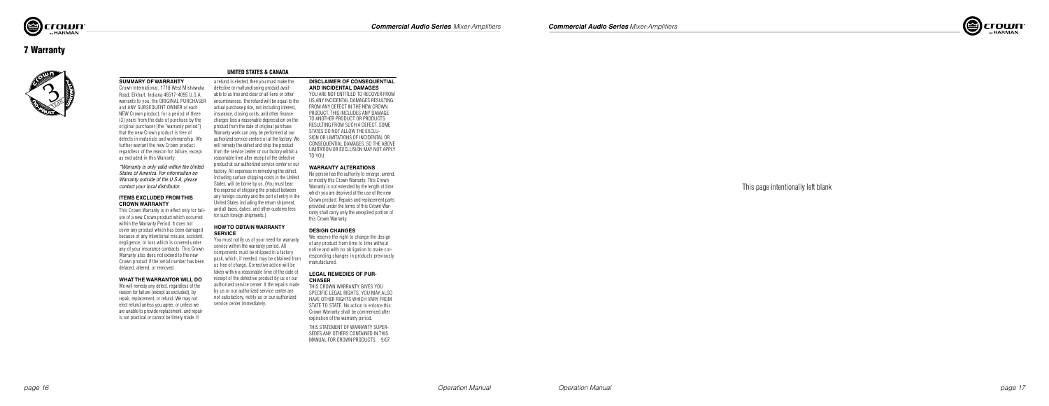



## 7 Warranty

### **SUMMARY OF WARRANTY**

Crown International, 1718 West Mishawaka Road, Elkhart, Indiana 46517-4095 U.S.A. warrants to you, the ORI GINAL PURCHASER and ANY SUBSE QUENT OWNER of each NEW Crown product, for a period of three (3) years from the date of purchase by the original purchaser (the "warranty period") that the new Crown product is free of defects in materials and workmanship. We further warrant the new Crown product regardless of the reason for failure, except as excluded in this Warranty.

*\*Warranty is only valid within the United States of America. For information on Warranty outside of the U.S.A, please contact your local distributor.*

#### **ITEMS EXCLUDED FROM THIS CROWN WARRANTY**

This Crown Warranty is in effect only for fail ure of a new Crown product which occurred within the Warranty Period. It does not cover any product which has been damaged because of any intentional misuse, accident, negligence, or loss which is covered under any of your insurance contracts. This Crown Warranty also does not extend to the new Crown product if the serial number has been defaced, altered, or removed.

### **WHAT THE WARRANTOR WILL DO**

We will remedy any defect, regardless of the reason for failure (except as excluded), by repair, replacement, or refund. We may not elect refund unless you agree, or unless we are unable to provide replacement, and repair is not practical or cannot be timely made. If

#### UNITED STATES & CANADA

a refund is elected, then you must make the defective or malfunctioning product avail able to us free and clear of all liens or other encumbrances. The refund will be equal to the actual purchase price, not including interest, insurance, closing costs, and other finance charges less a reasonable depreciation on the product from the date of original purchase. Warranty work can only be performed at our authorized service centers or at the factory. We will remedy the defect and ship the product from the service center or our factory within a reasonable time after receipt of the defective product at our authorized service center or our factory. All expenses in remedying the defect, including surface shipping costs in the United States, will be borne by us. (You must bear the expense of shipping the product between any foreign country and the port of entry in the United States including the return shipment, and all taxes, duties, and other customs fees for such foreign shipments.)

#### **HOW TO OBTAIN WARRANTY SERVICE**

You must notify us of your need for warranty service within the warranty period. All components must be shipped in a factory pack, which, if needed, may be obtained from us free of charge. Corrective action will be taken within a reasonable time of the date of receipt of the defective product by us or our authorized service center. If the repairs made by us or our authorized service center are not satisfactory, notify us or our authorized service center immediately.

#### **DISCLAIMER OF CONSEQUENTIAL AND INCIDENTAL DAMAGES**

YOU ARE NOT ENTITLED TO RECOVER FROM US ANY INCIDENTAL DAMA GES RESULTIN G FROM ANY DEFECT IN THE NEW CROWN PRODUCT. THIS INCLUDES ANY DAMA GE TO ANOTHER PRODUCT OR PRODUCTS RESULTIN G FROM SUCH A DEFECT. SOME STATES DO NOT ALLOW THE EXCLU - SION OR LIMITATIONS OF INCIDENTAL OR CONSE QUENTIAL DAMA GES, SO THE ABOVE LIMITATION OR EXCLUSION MAY NOT APPLY TO YOU.

#### **WARRANTY ALTERATIONS**

No person has the authority to enlarge, amend, or modify this Crown Warranty. This Crown Warranty is not extended by the length of time which you are deprived of the use of the new Crown product. Repairs and replacement parts provided under the terms of this Crown War ranty shall carry only the unexpired portion of this Crown Warranty.

#### **DESIGN CHANGES**

We reserve the right to change the design of any product from time to time without notice and with no obligation to make cor responding changes in products previously manufactured.

#### **LEGAL REMEDIES OF PUR - CHASER**

THIS CROWN WARRANTY GIVES YOU SPECIFIC LE GAL RI GHTS, YOU MAY ALSO HAVE OTHER RI GHTS WHICH VARY FROM STATE TO STATE. No action to enforce this Crown Warranty shall be commenced after expiration of the warranty period.

THIS STATEMENT OF WARRANTY SUPER - SEDES ANY OTHERS CONTAINED IN THIS MANUAL FOR CROWN PRODUCTS. 9/07



This page intentionally left blank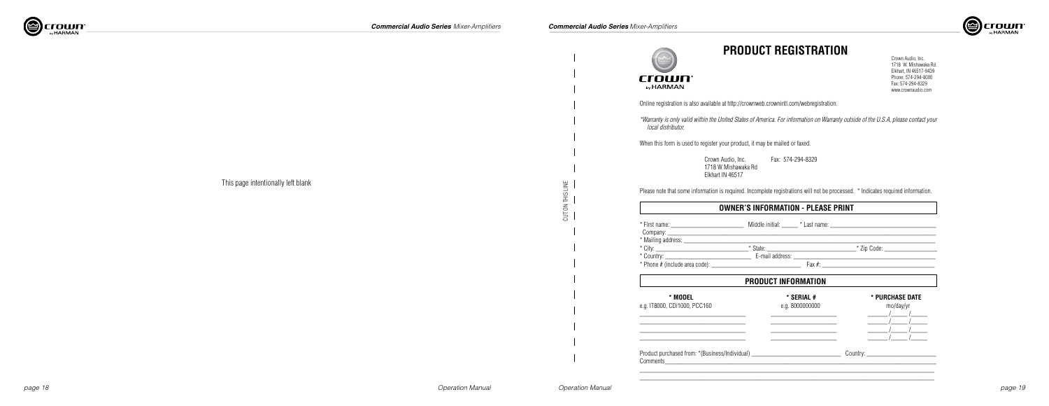





This page intentionally left blank

Crown Audio, Inc. 1718 W. Mishawaka Rd. Elkhart, IN 46517-9439 Phone: 574-294-8000 Fax: 574-294-8329 www.crownaudio.com

Online registration is also available at http://crownweb.crownintl.com/webregistration.

*\*Warranty is only valid within the United States of America. For information on Warranty outside of the U.S.A, please contact your local distributor.*

When this form is used to register your product, it may be mailed or faxed.

 Crown Audio, Inc. Fax: 574-294-8329 1718 W Mishawaka Rd Elkhart IN 46517

Please note that some information is required. Incomplete registrations will not be processed. \* Indicates required information.

## **OWNER'S INFORMATION - PLEASE PRINT**

|                                                                                  | <b>PRODUCT INFORMATION</b>    |                                            |  |
|----------------------------------------------------------------------------------|-------------------------------|--------------------------------------------|--|
| * MODEL<br>e.g. IT8000, CDi1000, PCC160                                          | * SERIAL #<br>e.g. 8000000000 | * PURCHASE DATE<br>mo/day/yr<br>$\sqrt{2}$ |  |
| Product purchased from: *(Business/Individual) _________________________________ |                               |                                            |  |

\_\_\_\_\_\_\_\_\_\_\_\_\_\_\_\_\_\_\_\_\_\_\_\_\_\_\_\_\_\_\_\_\_\_\_\_\_\_\_\_\_\_\_\_\_\_\_\_\_\_\_\_\_\_\_\_\_\_\_\_\_\_\_\_\_\_\_\_\_\_\_\_\_\_\_\_\_\_\_\_\_\_\_\_\_\_\_\_\_

## **PRODUCT REGISTRATION**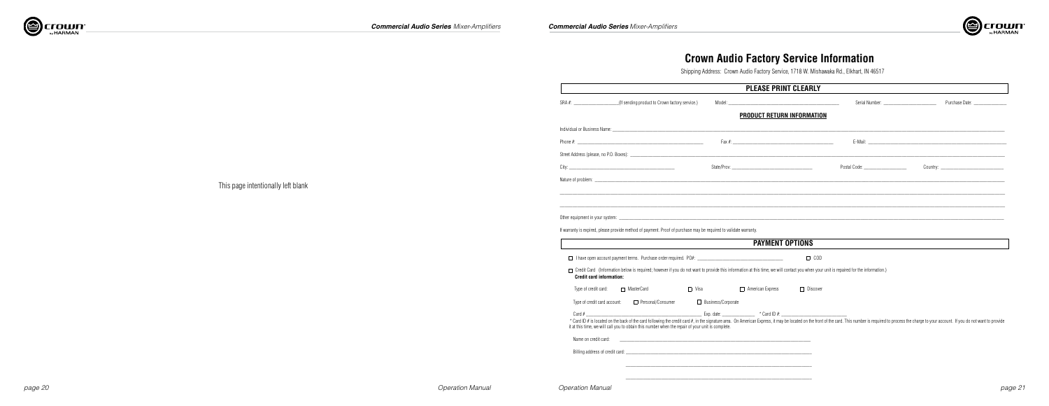



If warranty is expired,  $\Box$  I have open  **Credit card information:** 

|                                                                                                                                                                                                                                                                                                                                     |                    | <b>PLEASE PRINT CLEARLY</b>                                                                                                                                                                                                    |                 |                                                        |                                                                                                                |
|-------------------------------------------------------------------------------------------------------------------------------------------------------------------------------------------------------------------------------------------------------------------------------------------------------------------------------------|--------------------|--------------------------------------------------------------------------------------------------------------------------------------------------------------------------------------------------------------------------------|-----------------|--------------------------------------------------------|----------------------------------------------------------------------------------------------------------------|
| SRA #: __________________(If sending product to Crown factory service.)                                                                                                                                                                                                                                                             |                    | Model: Note and the second contract of the second contract of the second contract of the second contract of the second contract of the second contract of the second contract of the second contract of the second contract of |                 | Serial Number: The Contract of the Serial Number:      | Purchase Date: Noted that the part of the set of the part of the set of the part of the set of the part of the |
|                                                                                                                                                                                                                                                                                                                                     |                    | <b>PRODUCT RETURN INFORMATION</b>                                                                                                                                                                                              |                 |                                                        |                                                                                                                |
|                                                                                                                                                                                                                                                                                                                                     |                    |                                                                                                                                                                                                                                |                 |                                                        |                                                                                                                |
| Phone $\#$ :                                                                                                                                                                                                                                                                                                                        |                    | $\text{Fax} \#$ :                                                                                                                                                                                                              |                 |                                                        |                                                                                                                |
|                                                                                                                                                                                                                                                                                                                                     |                    |                                                                                                                                                                                                                                |                 |                                                        |                                                                                                                |
|                                                                                                                                                                                                                                                                                                                                     |                    |                                                                                                                                                                                                                                |                 | Postal Code: The Contract of the Contract of the Code: |                                                                                                                |
| Nature of problem: <u>www.community.com and a state of the state of the state of the state of problem:</u>                                                                                                                                                                                                                          |                    |                                                                                                                                                                                                                                |                 |                                                        |                                                                                                                |
|                                                                                                                                                                                                                                                                                                                                     |                    |                                                                                                                                                                                                                                |                 |                                                        |                                                                                                                |
|                                                                                                                                                                                                                                                                                                                                     |                    |                                                                                                                                                                                                                                |                 |                                                        |                                                                                                                |
|                                                                                                                                                                                                                                                                                                                                     |                    |                                                                                                                                                                                                                                |                 |                                                        |                                                                                                                |
| If warranty is expired, please provide method of payment. Proof of purchase may be required to validate warranty.                                                                                                                                                                                                                   |                    |                                                                                                                                                                                                                                |                 |                                                        |                                                                                                                |
|                                                                                                                                                                                                                                                                                                                                     |                    | <b>PAYMENT OPTIONS</b>                                                                                                                                                                                                         |                 |                                                        |                                                                                                                |
|                                                                                                                                                                                                                                                                                                                                     |                    |                                                                                                                                                                                                                                | $\Box$ COD      |                                                        |                                                                                                                |
| □ Credit Card (Information below is required; however if you do not want to provide this information at this time, we will contact you when your unit is repaired for the information.)<br><b>Credit card information:</b>                                                                                                          |                    |                                                                                                                                                                                                                                |                 |                                                        |                                                                                                                |
| Type of credit card:<br>□ MasterCard                                                                                                                                                                                                                                                                                                | □ Visa             | $\Box$ American Express                                                                                                                                                                                                        | $\Box$ Discover |                                                        |                                                                                                                |
| Type of credit card account:<br>Personal/Consumer                                                                                                                                                                                                                                                                                   | Business/Corporate |                                                                                                                                                                                                                                |                 |                                                        |                                                                                                                |
| Card #                                                                                                                                                                                                                                                                                                                              |                    |                                                                                                                                                                                                                                |                 |                                                        |                                                                                                                |
| * Card ID # is located on the back of the card following the credit card #, in the signature area. On American Express, it may be located on the front of the card. This number is required to process the charge to your acco<br>it at this time, we will call you to obtain this number when the repair of your unit is complete. |                    |                                                                                                                                                                                                                                |                 |                                                        |                                                                                                                |
| Name on credit card:<br><u> 1999 - Johann John Stoff, deutscher Stoffen und der Stoffen und der Stoffen und der Stoffen und der Stoffen un</u>                                                                                                                                                                                      |                    |                                                                                                                                                                                                                                |                 |                                                        |                                                                                                                |
|                                                                                                                                                                                                                                                                                                                                     |                    |                                                                                                                                                                                                                                |                 |                                                        |                                                                                                                |
|                                                                                                                                                                                                                                                                                                                                     |                    |                                                                                                                                                                                                                                |                 |                                                        |                                                                                                                |
|                                                                                                                                                                                                                                                                                                                                     |                    |                                                                                                                                                                                                                                |                 |                                                        |                                                                                                                |
| <b>Operation Manual</b>                                                                                                                                                                                                                                                                                                             |                    |                                                                                                                                                                                                                                |                 |                                                        | page 21                                                                                                        |

Shipping Address: Crown Audio Factory Service, 1718 W. Mishawaka Rd., Elkhart, IN 46517

## **Crown Audio Factory Service Information**

This page intentionally left blank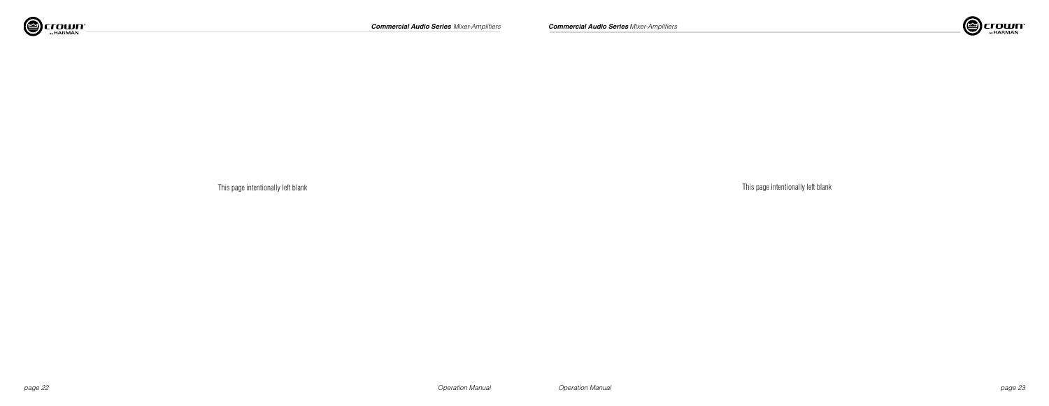



This page intentionally left blank This page intentionally left blank